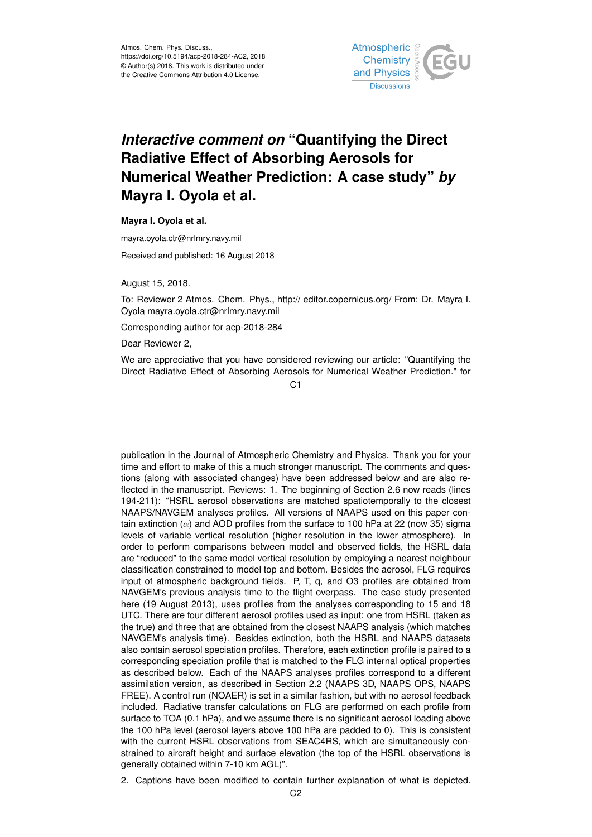

## *Interactive comment on* **"Quantifying the Direct Radiative Effect of Absorbing Aerosols for Numerical Weather Prediction: A case study"** *by* **Mayra I. Oyola et al.**

**Mayra I. Oyola et al.**

mayra.oyola.ctr@nrlmry.navy.mil

Received and published: 16 August 2018

August 15, 2018.

To: Reviewer 2 Atmos. Chem. Phys., http:// editor.copernicus.org/ From: Dr. Mayra I. Oyola mayra.oyola.ctr@nrlmry.navy.mil

Corresponding author for acp-2018-284

Dear Reviewer 2,

We are appreciative that you have considered reviewing our article: "Quantifying the Direct Radiative Effect of Absorbing Aerosols for Numerical Weather Prediction." for

 $C<sub>1</sub>$ 

publication in the Journal of Atmospheric Chemistry and Physics. Thank you for your time and effort to make of this a much stronger manuscript. The comments and questions (along with associated changes) have been addressed below and are also reflected in the manuscript. Reviews: 1. The beginning of Section 2.6 now reads (lines 194-211): "HSRL aerosol observations are matched spatiotemporally to the closest NAAPS/NAVGEM analyses profiles. All versions of NAAPS used on this paper contain extinction  $(\alpha)$  and AOD profiles from the surface to 100 hPa at 22 (now 35) sigma levels of variable vertical resolution (higher resolution in the lower atmosphere). In order to perform comparisons between model and observed fields, the HSRL data are "reduced" to the same model vertical resolution by employing a nearest neighbour classification constrained to model top and bottom. Besides the aerosol, FLG requires input of atmospheric background fields. P, T, q, and O3 profiles are obtained from NAVGEM's previous analysis time to the flight overpass. The case study presented here (19 August 2013), uses profiles from the analyses corresponding to 15 and 18 UTC. There are four different aerosol profiles used as input: one from HSRL (taken as the true) and three that are obtained from the closest NAAPS analysis (which matches NAVGEM's analysis time). Besides extinction, both the HSRL and NAAPS datasets also contain aerosol speciation profiles. Therefore, each extinction profile is paired to a corresponding speciation profile that is matched to the FLG internal optical properties as described below. Each of the NAAPS analyses profiles correspond to a different assimilation version, as described in Section 2.2 (NAAPS 3D, NAAPS OPS, NAAPS FREE). A control run (NOAER) is set in a similar fashion, but with no aerosol feedback included. Radiative transfer calculations on FLG are performed on each profile from surface to TOA (0.1 hPa), and we assume there is no significant aerosol loading above the 100 hPa level (aerosol layers above 100 hPa are padded to 0). This is consistent with the current HSRL observations from SEAC4RS, which are simultaneously constrained to aircraft height and surface elevation (the top of the HSRL observations is generally obtained within 7-10 km AGL)".

2. Captions have been modified to contain further explanation of what is depicted.